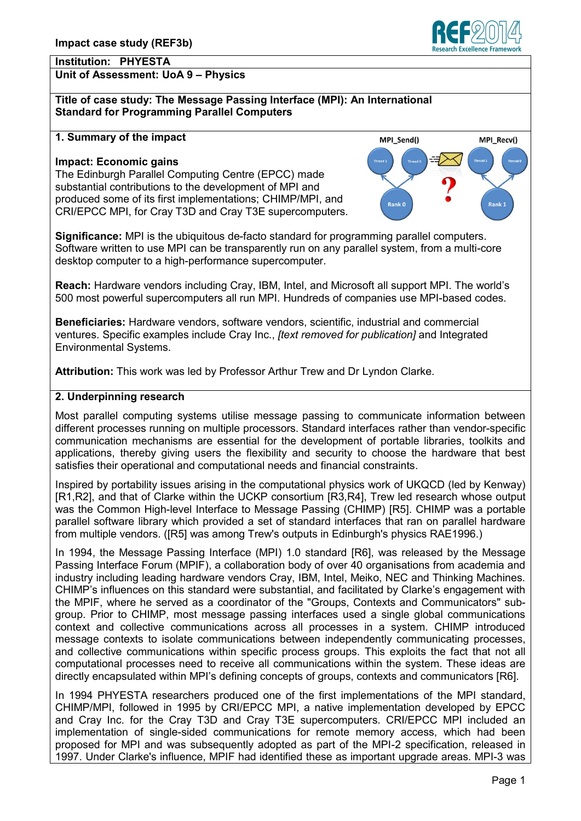#### **Institution: PHYESTA Unit of Assessment: UoA 9 – Physics**

**Title of case study: The Message Passing Interface (MPI): An International Standard for Programming Parallel Computers**

### **1. Summary of the impact**

#### **Impact: Economic gains**

The Edinburgh Parallel Computing Centre (EPCC) made substantial contributions to the development of MPI and produced some of its first implementations; CHIMP/MPI, and CRI/EPCC MPI, for Cray T3D and Cray T3E supercomputers.

Rank: Rank C

MPI\_Send()

**Significance:** MPI is the ubiquitous de-facto standard for programming parallel computers. Software written to use MPI can be transparently run on any parallel system, from a multi-core desktop computer to a high-performance supercomputer.

**Reach:** Hardware vendors including Cray, IBM, Intel, and Microsoft all support MPI. The world's 500 most powerful supercomputers all run MPI. Hundreds of companies use MPI-based codes.

**Beneficiaries:** Hardware vendors, software vendors, scientific, industrial and commercial ventures. Specific examples include Cray Inc., *[text removed for publication]* and Integrated Environmental Systems.

**Attribution:** This work was led by Professor Arthur Trew and Dr Lyndon Clarke.

### **2. Underpinning research**

Most parallel computing systems utilise message passing to communicate information between different processes running on multiple processors. Standard interfaces rather than vendor-specific communication mechanisms are essential for the development of portable libraries, toolkits and applications, thereby giving users the flexibility and security to choose the hardware that best satisfies their operational and computational needs and financial constraints.

Inspired by portability issues arising in the computational physics work of UKQCD (led by Kenway) [R1,R2], and that of Clarke within the UCKP consortium [R3,R4], Trew led research whose output was the Common High-level Interface to Message Passing (CHIMP) [R5]. CHIMP was a portable parallel software library which provided a set of standard interfaces that ran on parallel hardware from multiple vendors. ([R5] was among Trew's outputs in Edinburgh's physics RAE1996.)

In 1994, the Message Passing Interface (MPI) 1.0 standard [R6], was released by the Message Passing Interface Forum (MPIF), a collaboration body of over 40 organisations from academia and industry including leading hardware vendors Cray, IBM, Intel, Meiko, NEC and Thinking Machines. CHIMP's influences on this standard were substantial, and facilitated by Clarke's engagement with the MPIF, where he served as a coordinator of the "Groups, Contexts and Communicators" subgroup. Prior to CHIMP, most message passing interfaces used a single global communications context and collective communications across all processes in a system. CHIMP introduced message contexts to isolate communications between independently communicating processes, and collective communications within specific process groups. This exploits the fact that not all computational processes need to receive all communications within the system. These ideas are directly encapsulated within MPI's defining concepts of groups, contexts and communicators [R6].

In 1994 PHYESTA researchers produced one of the first implementations of the MPI standard, CHIMP/MPI, followed in 1995 by CRI/EPCC MPI, a native implementation developed by EPCC and Cray Inc. for the Cray T3D and Cray T3E supercomputers. CRI/EPCC MPI included an implementation of single-sided communications for remote memory access, which had been proposed for MPI and was subsequently adopted as part of the MPI-2 specification, released in 1997. Under Clarke's influence, MPIF had identified these as important upgrade areas. MPI-3 was



MPI\_Recv()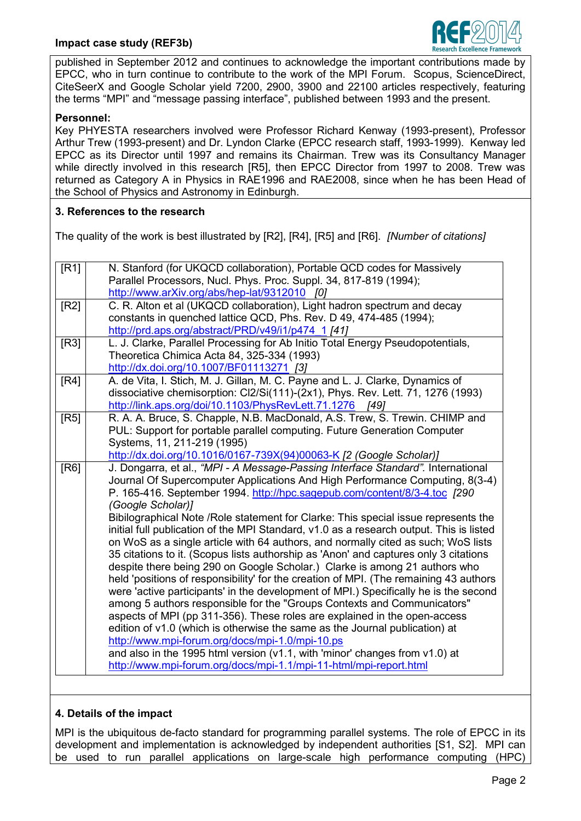

published in September 2012 and continues to acknowledge the important contributions made by EPCC, who in turn continue to contribute to the work of the MPI Forum. Scopus, ScienceDirect, CiteSeerX and Google Scholar yield 7200, 2900, 3900 and 22100 articles respectively, featuring the terms "MPI" and "message passing interface", published between 1993 and the present.

## **Personnel:**

Key PHYESTA researchers involved were Professor Richard Kenway (1993-present), Professor Arthur Trew (1993-present) and Dr. Lyndon Clarke (EPCC research staff, 1993-1999). Kenway led EPCC as its Director until 1997 and remains its Chairman. Trew was its Consultancy Manager while directly involved in this research [R5], then EPCC Director from 1997 to 2008. Trew was returned as Category A in Physics in RAE1996 and RAE2008, since when he has been Head of the School of Physics and Astronomy in Edinburgh.

### **3. References to the research**

The quality of the work is best illustrated by [R2], [R4], [R5] and [R6]. *[Number of citations]*

| [R1] | N. Stanford (for UKQCD collaboration), Portable QCD codes for Massively<br>Parallel Processors, Nucl. Phys. Proc. Suppl. 34, 817-819 (1994);                                                                                 |
|------|------------------------------------------------------------------------------------------------------------------------------------------------------------------------------------------------------------------------------|
|      | http://www.arXiv.org/abs/hep-lat/9312010 [0]                                                                                                                                                                                 |
| [R2] | C. R. Alton et al (UKQCD collaboration), Light hadron spectrum and decay<br>constants in quenched lattice QCD, Phs. Rev. D 49, 474-485 (1994);                                                                               |
| [R3] | http://prd.aps.org/abstract/PRD/v49/i1/p474 1 [41]<br>L. J. Clarke, Parallel Processing for Ab Initio Total Energy Pseudopotentials,                                                                                         |
|      | Theoretica Chimica Acta 84, 325-334 (1993)                                                                                                                                                                                   |
|      | http://dx.doi.org/10.1007/BF01113271 [3]                                                                                                                                                                                     |
| [RA] | A. de Vita, I. Stich, M. J. Gillan, M. C. Payne and L. J. Clarke, Dynamics of<br>dissociative chemisorption: Cl2/Si(111)-(2x1), Phys. Rev. Lett. 71, 1276 (1993)<br>http://link.aps.org/doi/10.1103/PhysRevLett.71.1276 [49] |
| [R5] | R. A. A. Bruce, S. Chapple, N.B. MacDonald, A.S. Trew, S. Trewin. CHIMP and                                                                                                                                                  |
|      | PUL: Support for portable parallel computing. Future Generation Computer                                                                                                                                                     |
|      | Systems, 11, 211-219 (1995)                                                                                                                                                                                                  |
| [R6] | http://dx.doi.org/10.1016/0167-739X(94)00063-K [2 (Google Scholar)]<br>J. Dongarra, et al., "MPI - A Message-Passing Interface Standard". International                                                                      |
|      | Journal Of Supercomputer Applications And High Performance Computing, 8(3-4)                                                                                                                                                 |
|      | P. 165-416. September 1994. http://hpc.sagepub.com/content/8/3-4.toc [290                                                                                                                                                    |
|      | (Google Scholar)]                                                                                                                                                                                                            |
|      | Bibilographical Note / Role statement for Clarke: This special issue represents the                                                                                                                                          |
|      | initial full publication of the MPI Standard, v1.0 as a research output. This is listed<br>on WoS as a single article with 64 authors, and normally cited as such; WoS lists                                                 |
|      | 35 citations to it. (Scopus lists authorship as 'Anon' and captures only 3 citations                                                                                                                                         |
|      | despite there being 290 on Google Scholar.) Clarke is among 21 authors who                                                                                                                                                   |
|      | held 'positions of responsibility' for the creation of MPI. (The remaining 43 authors                                                                                                                                        |
|      | were 'active participants' in the development of MPI.) Specifically he is the second                                                                                                                                         |
|      | among 5 authors responsible for the "Groups Contexts and Communicators"                                                                                                                                                      |
|      | aspects of MPI (pp 311-356). These roles are explained in the open-access<br>edition of v1.0 (which is otherwise the same as the Journal publication) at                                                                     |
|      | http://www.mpi-forum.org/docs/mpi-1.0/mpi-10.ps                                                                                                                                                                              |
|      | and also in the 1995 html version ( $v1.1$ , with 'minor' changes from $v1.0$ ) at                                                                                                                                           |
|      | http://www.mpi-forum.org/docs/mpi-1.1/mpi-11-html/mpi-report.html                                                                                                                                                            |
|      |                                                                                                                                                                                                                              |

# **4. Details of the impact**

MPI is the ubiquitous de-facto standard for programming parallel systems. The role of EPCC in its development and implementation is acknowledged by independent authorities [S1, S2]. MPI can be used to run parallel applications on large-scale high performance computing (HPC)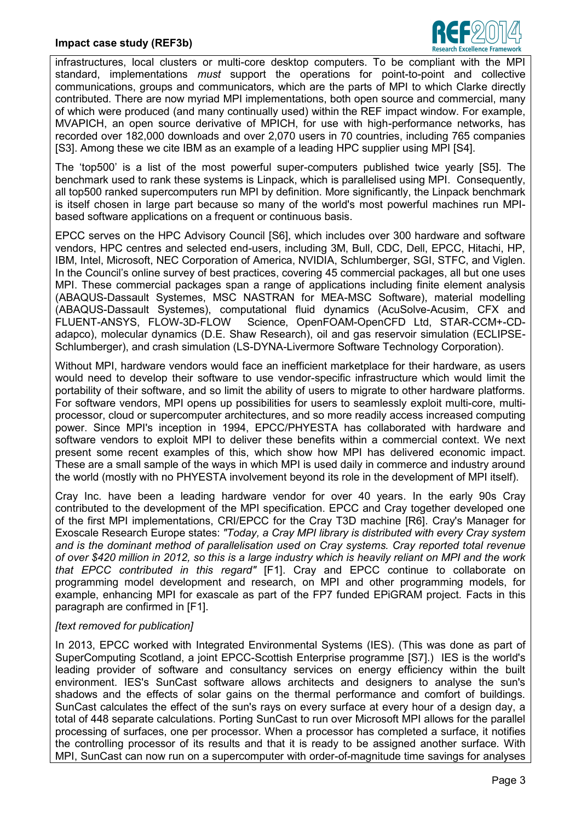

infrastructures, local clusters or multi-core desktop computers. To be compliant with the MPI standard, implementations *must* support the operations for point-to-point and collective communications, groups and communicators, which are the parts of MPI to which Clarke directly contributed. There are now myriad MPI implementations, both open source and commercial, many of which were produced (and many continually used) within the REF impact window. For example, MVAPICH, an open source derivative of MPICH, for use with high-performance networks, has recorded over 182,000 downloads and over 2,070 users in 70 countries, including 765 companies [S3]. Among these we cite IBM as an example of a leading HPC supplier using MPI [S4].

The 'top500' is a list of the most powerful super-computers published twice yearly [S5]. The benchmark used to rank these systems is Linpack, which is parallelised using MPI. Consequently, all top500 ranked supercomputers run MPI by definition. More significantly, the Linpack benchmark is itself chosen in large part because so many of the world's most powerful machines run MPIbased software applications on a frequent or continuous basis.

EPCC serves on the HPC Advisory Council [S6], which includes over 300 hardware and software vendors, HPC centres and selected end-users, including 3M, Bull, CDC, Dell, EPCC, Hitachi, HP, IBM, Intel, Microsoft, NEC Corporation of America, NVIDIA, Schlumberger, SGI, STFC, and Viglen. In the Council's online survey of best practices, covering 45 commercial packages, all but one uses MPI. These commercial packages span a range of applications including finite element analysis (ABAQUS-Dassault Systemes, MSC NASTRAN for MEA-MSC Software), material modelling (ABAQUS-Dassault Systemes), computational fluid dynamics (AcuSolve-Acusim, CFX and FLUENT-ANSYS, FLOW-3D-FLOW Science, OpenFOAM-OpenCFD Ltd, STAR-CCM+-CDadapco), molecular dynamics (D.E. Shaw Research), oil and gas reservoir simulation (ECLIPSE-Schlumberger), and crash simulation (LS-DYNA-Livermore Software Technology Corporation).

Without MPI, hardware vendors would face an inefficient marketplace for their hardware, as users would need to develop their software to use vendor-specific infrastructure which would limit the portability of their software, and so limit the ability of users to migrate to other hardware platforms. For software vendors, MPI opens up possibilities for users to seamlessly exploit multi-core, multiprocessor, cloud or supercomputer architectures, and so more readily access increased computing power. Since MPI's inception in 1994, EPCC/PHYESTA has collaborated with hardware and software vendors to exploit MPI to deliver these benefits within a commercial context. We next present some recent examples of this, which show how MPI has delivered economic impact. These are a small sample of the ways in which MPI is used daily in commerce and industry around the world (mostly with no PHYESTA involvement beyond its role in the development of MPI itself).

Cray Inc. have been a leading hardware vendor for over 40 years. In the early 90s Cray contributed to the development of the MPI specification. EPCC and Cray together developed one of the first MPI implementations, CRI/EPCC for the Cray T3D machine [R6]. Cray's Manager for Exoscale Research Europe states: *"Today, a Cray MPI library is distributed with every Cray system and is the dominant method of parallelisation used on Cray systems. Cray reported total revenue of over \$420 million in 2012, so this is a large industry which is heavily reliant on MPI and the work that EPCC contributed in this regard"* [F1]. Cray and EPCC continue to collaborate on programming model development and research, on MPI and other programming models, for example, enhancing MPI for exascale as part of the FP7 funded EPiGRAM project. Facts in this paragraph are confirmed in [F1].

### *[text removed for publication]*

In 2013, EPCC worked with Integrated Environmental Systems (IES). (This was done as part of SuperComputing Scotland, a joint EPCC-Scottish Enterprise programme [S7].) IES is the world's leading provider of software and consultancy services on energy efficiency within the built environment. IES's SunCast software allows architects and designers to analyse the sun's shadows and the effects of solar gains on the thermal performance and comfort of buildings. SunCast calculates the effect of the sun's rays on every surface at every hour of a design day, a total of 448 separate calculations. Porting SunCast to run over Microsoft MPI allows for the parallel processing of surfaces, one per processor. When a processor has completed a surface, it notifies the controlling processor of its results and that it is ready to be assigned another surface. With MPI, SunCast can now run on a supercomputer with order-of-magnitude time savings for analyses